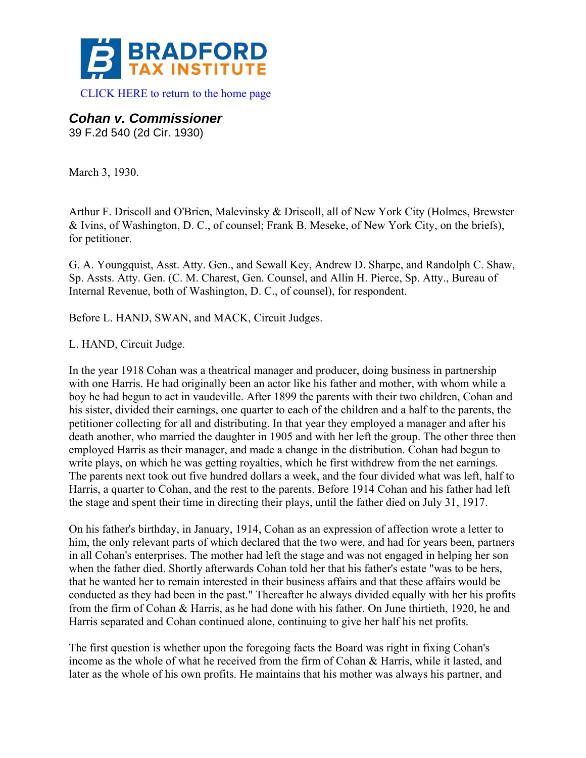

*Cohan v. Commissioner*  39 F.2d 540 (2d Cir. 1930)

March 3, 1930.

Arthur F. Driscoll and O'Brien, Malevinsky & Driscoll, all of New York City (Holmes, Brewster & Ivins, of Washington, D. C., of counsel; Frank B. Meseke, of New York City, on the briefs), for petitioner.

G. A. Youngquist, Asst. Atty. Gen., and Sewall Key, Andrew D. Sharpe, and Randolph C. Shaw, Sp. Assts. Atty. Gen. (C. M. Charest, Gen. Counsel, and Allin H. Pierce, Sp. Atty., Bureau of Internal Revenue, both of Washington, D. C., of counsel), for respondent.

Before L. HAND, SWAN, and MACK, Circuit Judges.

L. HAND, Circuit Judge.

In the year 1918 Cohan was a theatrical manager and producer, doing business in partnership with one Harris. He had originally been an actor like his father and mother, with whom while a boy he had begun to act in vaudeville. After 1899 the parents with their two children, Cohan and his sister, divided their earnings, one quarter to each of the children and a half to the parents, the petitioner collecting for all and distributing. In that year they employed a manager and after his death another, who married the daughter in 1905 and with her left the group. The other three then employed Harris as their manager, and made a change in the distribution. Cohan had begun to write plays, on which he was getting royalties, which he first withdrew from the net earnings. The parents next took out five hundred dollars a week, and the four divided what was left, half to Harris, a quarter to Cohan, and the rest to the parents. Before 1914 Cohan and his father had left the stage and spent their time in directing their plays, until the father died on July 31, 1917.

On his father's birthday, in January, 1914, Cohan as an expression of affection wrote a letter to him, the only relevant parts of which declared that the two were, and had for years been, partners in all Cohan's enterprises. The mother had left the stage and was not engaged in helping her son when the father died. Shortly afterwards Cohan told her that his father's estate "was to be hers, that he wanted her to remain interested in their business affairs and that these affairs would be conducted as they had been in the past." Thereafter he always divided equally with her his profits from the firm of Cohan & Harris, as he had done with his father. On June thirtieth, 1920, he and Harris separated and Cohan continued alone, continuing to give her half his net profits.

The first question is whether upon the foregoing facts the Board was right in fixing Cohan's income as the whole of what he received from the firm of Cohan & Harris, while it lasted, and later as the whole of his own profits. He maintains that his mother was always his partner, and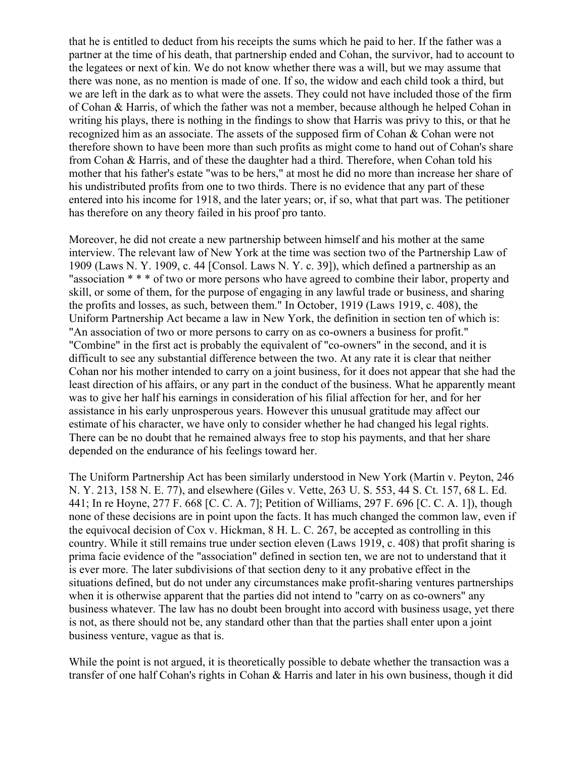that he is entitled to deduct from his receipts the sums which he paid to her. If the father was a partner at the time of his death, that partnership ended and Cohan, the survivor, had to account to the legatees or next of kin. We do not know whether there was a will, but we may assume that there was none, as no mention is made of one. If so, the widow and each child took a third, but we are left in the dark as to what were the assets. They could not have included those of the firm of Cohan & Harris, of which the father was not a member, because although he helped Cohan in writing his plays, there is nothing in the findings to show that Harris was privy to this, or that he recognized him as an associate. The assets of the supposed firm of Cohan  $\&$  Cohan were not therefore shown to have been more than such profits as might come to hand out of Cohan's share from Cohan & Harris, and of these the daughter had a third. Therefore, when Cohan told his mother that his father's estate "was to be hers," at most he did no more than increase her share of his undistributed profits from one to two thirds. There is no evidence that any part of these entered into his income for 1918, and the later years; or, if so, what that part was. The petitioner has therefore on any theory failed in his proof pro tanto.

Moreover, he did not create a new partnership between himself and his mother at the same interview. The relevant law of New York at the time was section two of the Partnership Law of 1909 (Laws N. Y. 1909, c. 44 [Consol. Laws N. Y. c. 39]), which defined a partnership as an "association  $***$  of two or more persons who have agreed to combine their labor, property and skill, or some of them, for the purpose of engaging in any lawful trade or business, and sharing the profits and losses, as such, between them." In October, 1919 (Laws 1919, c. 408), the Uniform Partnership Act became a law in New York, the definition in section ten of which is: "An association of two or more persons to carry on as co-owners a business for profit." "Combine" in the first act is probably the equivalent of "co-owners" in the second, and it is difficult to see any substantial difference between the two. At any rate it is clear that neither Cohan nor his mother intended to carry on a joint business, for it does not appear that she had the least direction of his affairs, or any part in the conduct of the business. What he apparently meant was to give her half his earnings in consideration of his filial affection for her, and for her assistance in his early unprosperous years. However this unusual gratitude may affect our estimate of his character, we have only to consider whether he had changed his legal rights. There can be no doubt that he remained always free to stop his payments, and that her share depended on the endurance of his feelings toward her.

The Uniform Partnership Act has been similarly understood in New York (Martin v. Peyton, 246 N. Y. 213, 158 N. E. 77), and elsewhere (Giles v. Vette, 263 U. S. 553, 44 S. Ct. 157, 68 L. Ed. 441; In re Hoyne, 277 F. 668 [C. C. A. 7]; Petition of Williams, 297 F. 696 [C. C. A. 1]), though none of these decisions are in point upon the facts. It has much changed the common law, even if the equivocal decision of Cox v. Hickman, 8 H. L. C. 267, be accepted as controlling in this country. While it still remains true under section eleven (Laws 1919, c. 408) that profit sharing is prima facie evidence of the "association" defined in section ten, we are not to understand that it is ever more. The later subdivisions of that section deny to it any probative effect in the situations defined, but do not under any circumstances make profit-sharing ventures partnerships when it is otherwise apparent that the parties did not intend to "carry on as co-owners" any business whatever. The law has no doubt been brought into accord with business usage, yet there is not, as there should not be, any standard other than that the parties shall enter upon a joint business venture, vague as that is.

While the point is not argued, it is theoretically possible to debate whether the transaction was a transfer of one half Cohan's rights in Cohan & Harris and later in his own business, though it did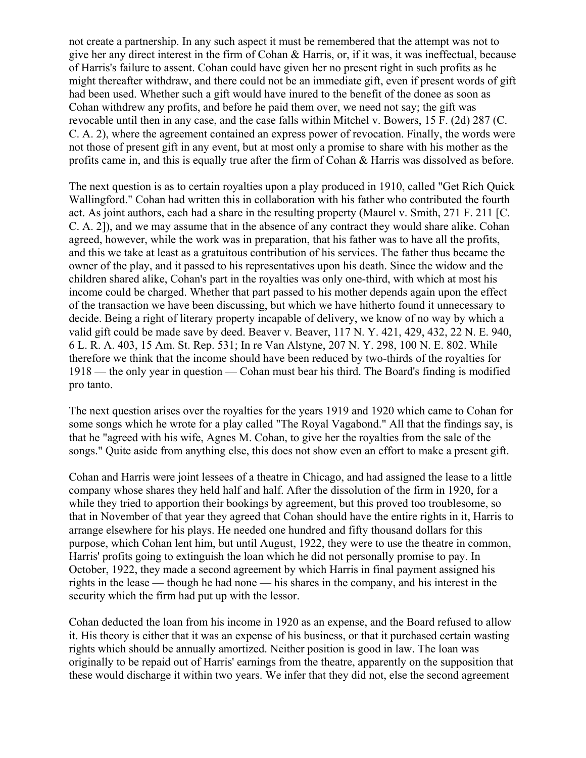not create a partnership. In any such aspect it must be remembered that the attempt was not to give her any direct interest in the firm of Cohan & Harris, or, if it was, it was ineffectual, because of Harris's failure to assent. Cohan could have given her no present right in such profits as he might thereafter withdraw, and there could not be an immediate gift, even if present words of gift had been used. Whether such a gift would have inured to the benefit of the donee as soon as Cohan withdrew any profits, and before he paid them over, we need not say; the gift was revocable until then in any case, and the case falls within Mitchel v. Bowers, 15 F. (2d) 287 (C. C. A. 2), where the agreement contained an express power of revocation. Finally, the words were not those of present gift in any event, but at most only a promise to share with his mother as the profits came in, and this is equally true after the firm of Cohan & Harris was dissolved as before.

The next question is as to certain royalties upon a play produced in 1910, called "Get Rich Quick Wallingford." Cohan had written this in collaboration with his father who contributed the fourth act. As joint authors, each had a share in the resulting property (Maurel v. Smith, 271 F. 211 [C. C. A. 2]), and we may assume that in the absence of any contract they would share alike. Cohan agreed, however, while the work was in preparation, that his father was to have all the profits, and this we take at least as a gratuitous contribution of his services. The father thus became the owner of the play, and it passed to his representatives upon his death. Since the widow and the children shared alike, Cohan's part in the royalties was only one-third, with which at most his income could be charged. Whether that part passed to his mother depends again upon the effect of the transaction we have been discussing, but which we have hitherto found it unnecessary to decide. Being a right of literary property incapable of delivery, we know of no way by which a valid gift could be made save by deed. Beaver v. Beaver, 117 N. Y. 421, 429, 432, 22 N. E. 940, 6 L. R. A. 403, 15 Am. St. Rep. 531; In re Van Alstyne, 207 N. Y. 298, 100 N. E. 802. While therefore we think that the income should have been reduced by two-thirds of the royalties for 1918 — the only year in question — Cohan must bear his third. The Board's finding is modified pro tanto.

The next question arises over the royalties for the years 1919 and 1920 which came to Cohan for some songs which he wrote for a play called "The Royal Vagabond." All that the findings say, is that he "agreed with his wife, Agnes M. Cohan, to give her the royalties from the sale of the songs." Quite aside from anything else, this does not show even an effort to make a present gift.

Cohan and Harris were joint lessees of a theatre in Chicago, and had assigned the lease to a little company whose shares they held half and half. After the dissolution of the firm in 1920, for a while they tried to apportion their bookings by agreement, but this proved too troublesome, so that in November of that year they agreed that Cohan should have the entire rights in it, Harris to arrange elsewhere for his plays. He needed one hundred and fifty thousand dollars for this purpose, which Cohan lent him, but until August, 1922, they were to use the theatre in common, Harris' profits going to extinguish the loan which he did not personally promise to pay. In October, 1922, they made a second agreement by which Harris in final payment assigned his rights in the lease — though he had none — his shares in the company, and his interest in the security which the firm had put up with the lessor.

Cohan deducted the loan from his income in 1920 as an expense, and the Board refused to allow it. His theory is either that it was an expense of his business, or that it purchased certain wasting rights which should be annually amortized. Neither position is good in law. The loan was originally to be repaid out of Harris' earnings from the theatre, apparently on the supposition that these would discharge it within two years. We infer that they did not, else the second agreement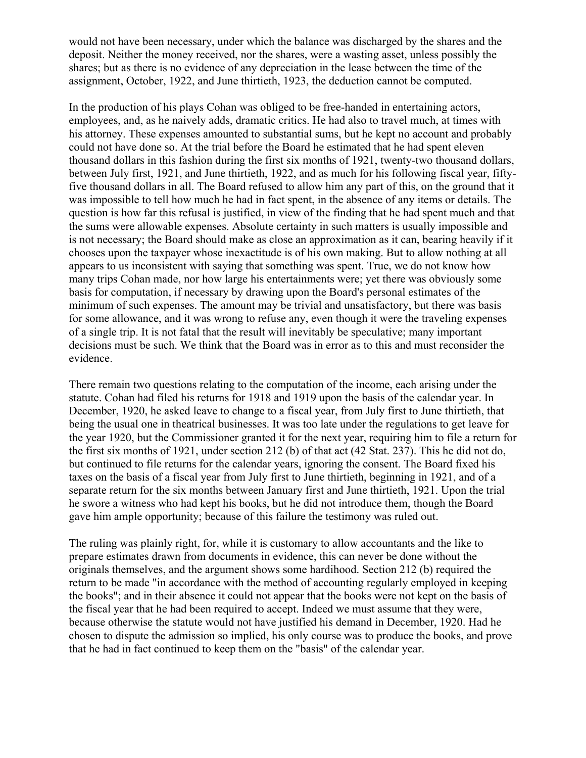would not have been necessary, under which the balance was discharged by the shares and the deposit. Neither the money received, nor the shares, were a wasting asset, unless possibly the shares; but as there is no evidence of any depreciation in the lease between the time of the assignment, October, 1922, and June thirtieth, 1923, the deduction cannot be computed.

In the production of his plays Cohan was obliged to be free-handed in entertaining actors, employees, and, as he naively adds, dramatic critics. He had also to travel much, at times with his attorney. These expenses amounted to substantial sums, but he kept no account and probably could not have done so. At the trial before the Board he estimated that he had spent eleven thousand dollars in this fashion during the first six months of 1921, twenty-two thousand dollars, between July first, 1921, and June thirtieth, 1922, and as much for his following fiscal year, fiftyfive thousand dollars in all. The Board refused to allow him any part of this, on the ground that it was impossible to tell how much he had in fact spent, in the absence of any items or details. The question is how far this refusal is justified, in view of the finding that he had spent much and that the sums were allowable expenses. Absolute certainty in such matters is usually impossible and is not necessary; the Board should make as close an approximation as it can, bearing heavily if it chooses upon the taxpayer whose inexactitude is of his own making. But to allow nothing at all appears to us inconsistent with saying that something was spent. True, we do not know how many trips Cohan made, nor how large his entertainments were; yet there was obviously some basis for computation, if necessary by drawing upon the Board's personal estimates of the minimum of such expenses. The amount may be trivial and unsatisfactory, but there was basis for some allowance, and it was wrong to refuse any, even though it were the traveling expenses of a single trip. It is not fatal that the result will inevitably be speculative; many important decisions must be such. We think that the Board was in error as to this and must reconsider the evidence.

There remain two questions relating to the computation of the income, each arising under the statute. Cohan had filed his returns for 1918 and 1919 upon the basis of the calendar year. In December, 1920, he asked leave to change to a fiscal year, from July first to June thirtieth, that being the usual one in theatrical businesses. It was too late under the regulations to get leave for the year 1920, but the Commissioner granted it for the next year, requiring him to file a return for the first six months of 1921, under section 212 (b) of that act (42 Stat. 237). This he did not do, but continued to file returns for the calendar years, ignoring the consent. The Board fixed his taxes on the basis of a fiscal year from July first to June thirtieth, beginning in 1921, and of a separate return for the six months between January first and June thirtieth, 1921. Upon the trial he swore a witness who had kept his books, but he did not introduce them, though the Board gave him ample opportunity; because of this failure the testimony was ruled out.

The ruling was plainly right, for, while it is customary to allow accountants and the like to prepare estimates drawn from documents in evidence, this can never be done without the originals themselves, and the argument shows some hardihood. Section 212 (b) required the return to be made "in accordance with the method of accounting regularly employed in keeping the books"; and in their absence it could not appear that the books were not kept on the basis of the fiscal year that he had been required to accept. Indeed we must assume that they were, because otherwise the statute would not have justified his demand in December, 1920. Had he chosen to dispute the admission so implied, his only course was to produce the books, and prove that he had in fact continued to keep them on the "basis" of the calendar year.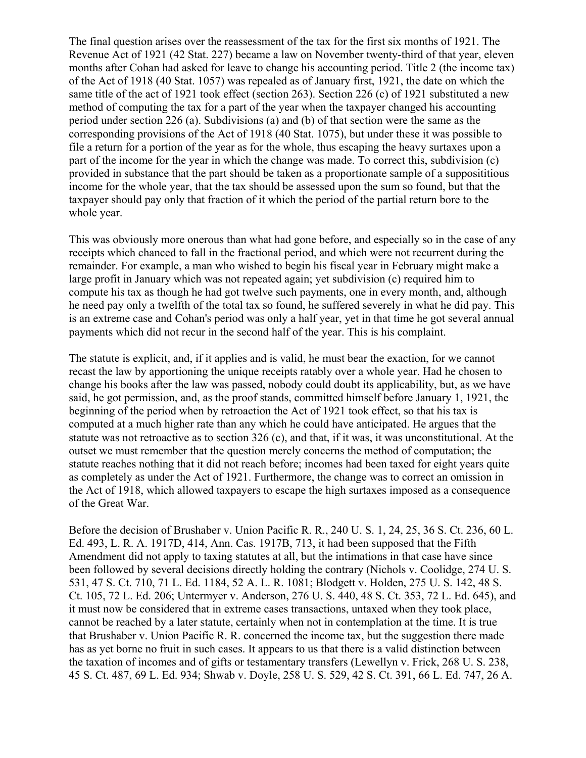The final question arises over the reassessment of the tax for the first six months of 1921. The Revenue Act of 1921 (42 Stat. 227) became a law on November twenty-third of that year, eleven months after Cohan had asked for leave to change his accounting period. Title 2 (the income tax) of the Act of 1918 (40 Stat. 1057) was repealed as of January first, 1921, the date on which the same title of the act of 1921 took effect (section 263). Section 226 (c) of 1921 substituted a new method of computing the tax for a part of the year when the taxpayer changed his accounting period under section 226 (a). Subdivisions (a) and (b) of that section were the same as the corresponding provisions of the Act of 1918 (40 Stat. 1075), but under these it was possible to file a return for a portion of the year as for the whole, thus escaping the heavy surtaxes upon a part of the income for the year in which the change was made. To correct this, subdivision (c) provided in substance that the part should be taken as a proportionate sample of a supposititious income for the whole year, that the tax should be assessed upon the sum so found, but that the taxpayer should pay only that fraction of it which the period of the partial return bore to the whole year.

This was obviously more onerous than what had gone before, and especially so in the case of any receipts which chanced to fall in the fractional period, and which were not recurrent during the remainder. For example, a man who wished to begin his fiscal year in February might make a large profit in January which was not repeated again; yet subdivision (c) required him to compute his tax as though he had got twelve such payments, one in every month, and, although he need pay only a twelfth of the total tax so found, he suffered severely in what he did pay. This is an extreme case and Cohan's period was only a half year, yet in that time he got several annual payments which did not recur in the second half of the year. This is his complaint.

The statute is explicit, and, if it applies and is valid, he must bear the exaction, for we cannot recast the law by apportioning the unique receipts ratably over a whole year. Had he chosen to change his books after the law was passed, nobody could doubt its applicability, but, as we have said, he got permission, and, as the proof stands, committed himself before January 1, 1921, the beginning of the period when by retroaction the Act of 1921 took effect, so that his tax is computed at a much higher rate than any which he could have anticipated. He argues that the statute was not retroactive as to section 326 (c), and that, if it was, it was unconstitutional. At the outset we must remember that the question merely concerns the method of computation; the statute reaches nothing that it did not reach before; incomes had been taxed for eight years quite as completely as under the Act of 1921. Furthermore, the change was to correct an omission in the Act of 1918, which allowed taxpayers to escape the high surtaxes imposed as a consequence of the Great War.

Before the decision of Brushaber v. Union Pacific R. R., 240 U. S. 1, 24, 25, 36 S. Ct. 236, 60 L. Ed. 493, L. R. A. 1917D, 414, Ann. Cas. 1917B, 713, it had been supposed that the Fifth Amendment did not apply to taxing statutes at all, but the intimations in that case have since been followed by several decisions directly holding the contrary (Nichols v. Coolidge, 274 U. S. 531, 47 S. Ct. 710, 71 L. Ed. 1184, 52 A. L. R. 1081; Blodgett v. Holden, 275 U. S. 142, 48 S. Ct. 105, 72 L. Ed. 206; Untermyer v. Anderson, 276 U. S. 440, 48 S. Ct. 353, 72 L. Ed. 645), and it must now be considered that in extreme cases transactions, untaxed when they took place, cannot be reached by a later statute, certainly when not in contemplation at the time. It is true that Brushaber v. Union Pacific R. R. concerned the income tax, but the suggestion there made has as yet borne no fruit in such cases. It appears to us that there is a valid distinction between the taxation of incomes and of gifts or testamentary transfers (Lewellyn v. Frick, 268 U. S. 238, 45 S. Ct. 487, 69 L. Ed. 934; Shwab v. Doyle, 258 U. S. 529, 42 S. Ct. 391, 66 L. Ed. 747, 26 A.